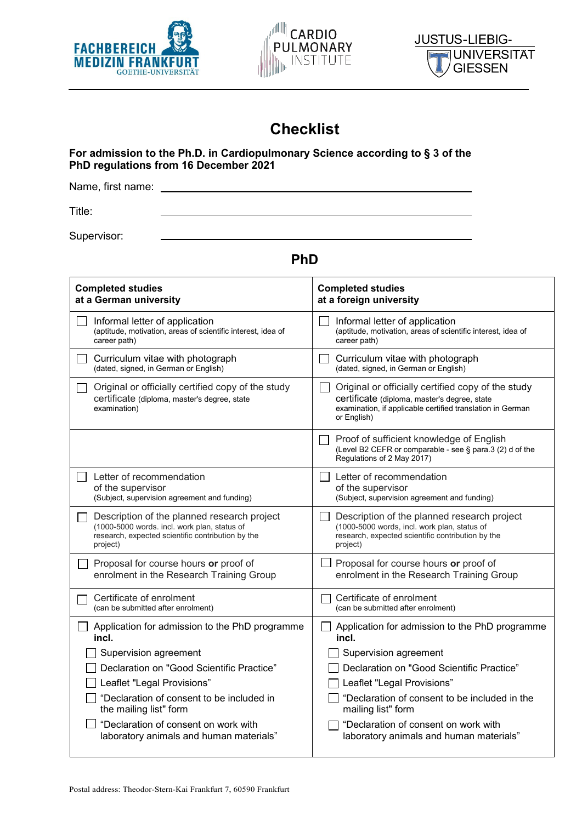





# **Checklist**

#### **For admission to the Ph.D. in Cardiopulmonary Science according to § 3 of the PhD regulations from 16 December 2021**

Name, first name:

Title:

Supervisor:

## **PhD**

| <b>Completed studies</b>                                                                                           | <b>Completed studies</b>                                                                                                                                                        |  |  |
|--------------------------------------------------------------------------------------------------------------------|---------------------------------------------------------------------------------------------------------------------------------------------------------------------------------|--|--|
| at a German university                                                                                             | at a foreign university                                                                                                                                                         |  |  |
| Informal letter of application                                                                                     | Informal letter of application                                                                                                                                                  |  |  |
| (aptitude, motivation, areas of scientific interest, idea of                                                       | (aptitude, motivation, areas of scientific interest, idea of                                                                                                                    |  |  |
| career path)                                                                                                       | career path)                                                                                                                                                                    |  |  |
| Curriculum vitae with photograph                                                                                   | Curriculum vitae with photograph                                                                                                                                                |  |  |
| (dated, signed, in German or English)                                                                              | (dated, signed, in German or English)                                                                                                                                           |  |  |
| Original or officially certified copy of the study<br>certificate (diploma, master's degree, state<br>examination) | Original or officially certified copy of the study<br>certificate (diploma, master's degree, state<br>examination, if applicable certified translation in German<br>or English) |  |  |
|                                                                                                                    | Proof of sufficient knowledge of English<br>(Level B2 CEFR or comparable - see § para.3 (2) d of the<br>Regulations of 2 May 2017)                                              |  |  |
| Letter of recommendation                                                                                           | Letter of recommendation                                                                                                                                                        |  |  |
| of the supervisor                                                                                                  | of the supervisor                                                                                                                                                               |  |  |
| (Subject, supervision agreement and funding)                                                                       | (Subject, supervision agreement and funding)                                                                                                                                    |  |  |
| Description of the planned research project                                                                        | Description of the planned research project                                                                                                                                     |  |  |
| (1000-5000 words. incl. work plan, status of                                                                       | (1000-5000 words, incl. work plan, status of                                                                                                                                    |  |  |
| research, expected scientific contribution by the                                                                  | research, expected scientific contribution by the                                                                                                                               |  |  |
| project)                                                                                                           | project)                                                                                                                                                                        |  |  |
| Proposal for course hours or proof of                                                                              | Proposal for course hours or proof of                                                                                                                                           |  |  |
| enrolment in the Research Training Group                                                                           | enrolment in the Research Training Group                                                                                                                                        |  |  |
| Certificate of enrolment                                                                                           | Certificate of enrolment                                                                                                                                                        |  |  |
| (can be submitted after enrolment)                                                                                 | (can be submitted after enrolment)                                                                                                                                              |  |  |
| Application for admission to the PhD programme                                                                     | Application for admission to the PhD programme                                                                                                                                  |  |  |
| incl.                                                                                                              | incl.                                                                                                                                                                           |  |  |
| Supervision agreement                                                                                              | Supervision agreement                                                                                                                                                           |  |  |
| Declaration on "Good Scientific Practice"                                                                          | Declaration on "Good Scientific Practice"                                                                                                                                       |  |  |
| Leaflet "Legal Provisions"                                                                                         | Leaflet "Legal Provisions"                                                                                                                                                      |  |  |
| "Declaration of consent to be included in                                                                          | "Declaration of consent to be included in the                                                                                                                                   |  |  |
| the mailing list" form                                                                                             | mailing list" form                                                                                                                                                              |  |  |
| "Declaration of consent on work with                                                                               | "Declaration of consent on work with                                                                                                                                            |  |  |
| laboratory animals and human materials"                                                                            | laboratory animals and human materials"                                                                                                                                         |  |  |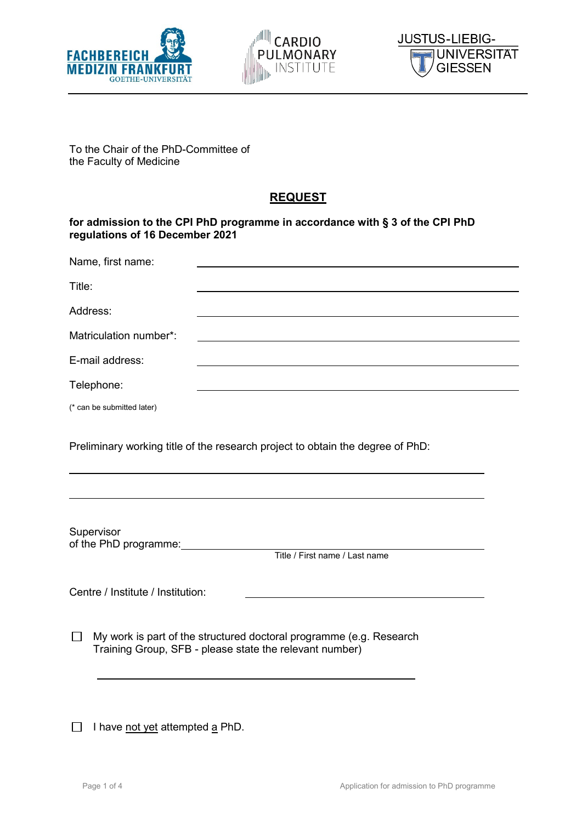





To the Chair of the PhD-Committee of the Faculty of Medicine

### **REQUEST**

#### **for admission to the CPI PhD programme in accordance with § 3 of the CPI PhD regulations of 16 December 2021**

| Name, first name:                                                              |  |  |  |
|--------------------------------------------------------------------------------|--|--|--|
| Title:                                                                         |  |  |  |
| Address:                                                                       |  |  |  |
| Matriculation number*:                                                         |  |  |  |
| E-mail address:                                                                |  |  |  |
| Telephone:                                                                     |  |  |  |
| (* can be submitted later)                                                     |  |  |  |
| Preliminary working title of the research project to obtain the degree of PhD: |  |  |  |

Supervisor of the PhD programme:<br>Title / First name / Last name

Centre / Institute / Institution:

 $\Box$  My work is part of the structured doctoral programme (e.g. Research Training Group, SFB - please state the relevant number)

 $\Box$  I have not yet attempted  $\underline{a}$  PhD.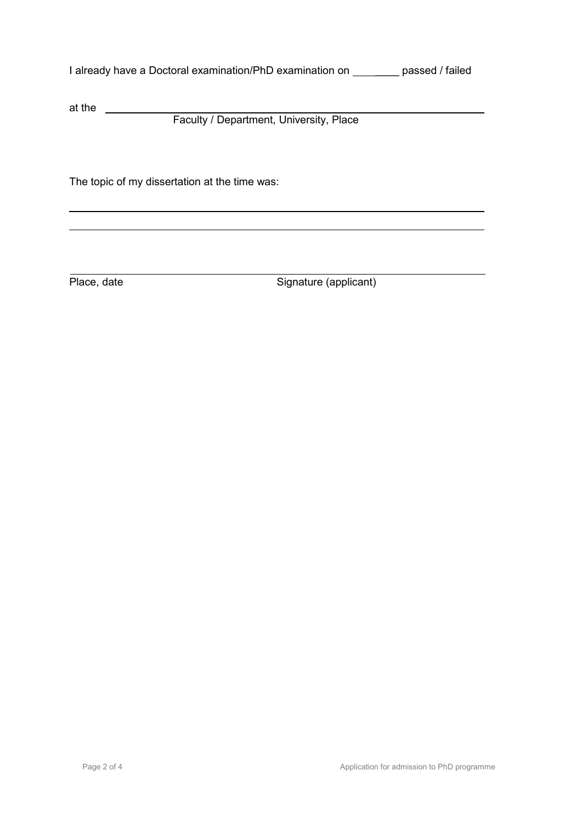| I already have a Doctoral examination/PhD examination on | passed / failed |
|----------------------------------------------------------|-----------------|
|----------------------------------------------------------|-----------------|

at the

Faculty / Department, University, Place

The topic of my dissertation at the time was:

Place, date Signature (applicant)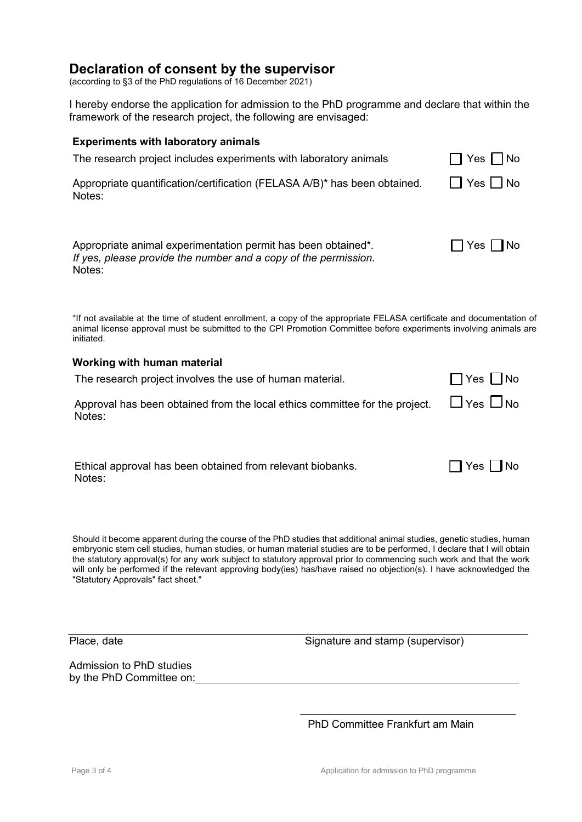### **Declaration of consent by the supervisor**

(according to §3 of the PhD regulations of 16 December 2021)

I hereby endorse the application for admission to the PhD programme and declare that within the framework of the research project, the following are envisaged:

#### **Experiments with laboratory animals**

| The research project includes experiments with laboratory animals                                                                          | $ $ No<br>$\Box$ Yes $\Box$ |
|--------------------------------------------------------------------------------------------------------------------------------------------|-----------------------------|
| Appropriate quantification/certification (FELASA A/B)* has been obtained.<br>Notes:                                                        | <b>T</b> Yes I No           |
| Appropriate animal experimentation permit has been obtained*.<br>If yes, please provide the number and a copy of the permission.<br>Notes: | ∏Yes∣∥No                    |

\*If not available at the time of student enrollment, a copy of the appropriate FELASA certificate and documentation of animal license approval must be submitted to the CPI Promotion Committee before experiments involving animals are initiated.

#### **Working with human material**

| The research project involves the use of human material.                                                   | $\Box$ Yes $\Box$ No |
|------------------------------------------------------------------------------------------------------------|----------------------|
| Approval has been obtained from the local ethics committee for the project. $\Box$ Yes $\Box$ No<br>Notes: |                      |

Ethical approval has been obtained from relevant biobanks.  $\Box$  Yes  $\Box$  No Notes:

Should it become apparent during the course of the PhD studies that additional animal studies, genetic studies, human embryonic stem cell studies, human studies, or human material studies are to be performed, I declare that I will obtain the statutory approval(s) for any work subject to statutory approval prior to commencing such work and that the work will only be performed if the relevant approving body(ies) has/have raised no objection(s). I have acknowledged the "Statutory Approvals" fact sheet."

Admission to PhD studies by the PhD Committee on:

Place, date **Signature and stamp (supervisor)** 

PhD Committee Frankfurt am Main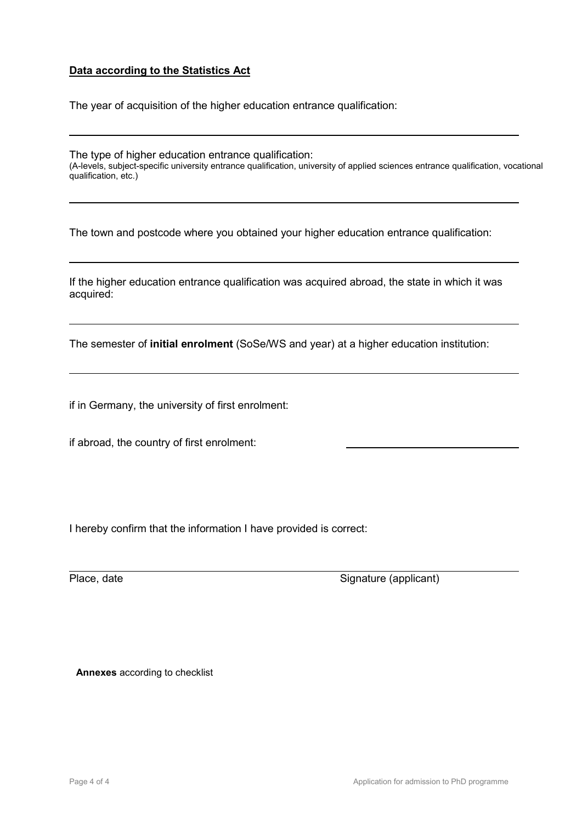#### **Data according to the Statistics Act**

The year of acquisition of the higher education entrance qualification:

The type of higher education entrance qualification: (A-levels, subject-specific university entrance qualification, university of applied sciences entrance qualification, vocational qualification, etc.)

The town and postcode where you obtained your higher education entrance qualification:

If the higher education entrance qualification was acquired abroad, the state in which it was acquired:

The semester of **initial enrolment** (SoSe/WS and year) at a higher education institution:

if in Germany, the university of first enrolment:

if abroad, the country of first enrolment:

I hereby confirm that the information I have provided is correct:

Place, date Signature (applicant)

**Annexes** according to checklist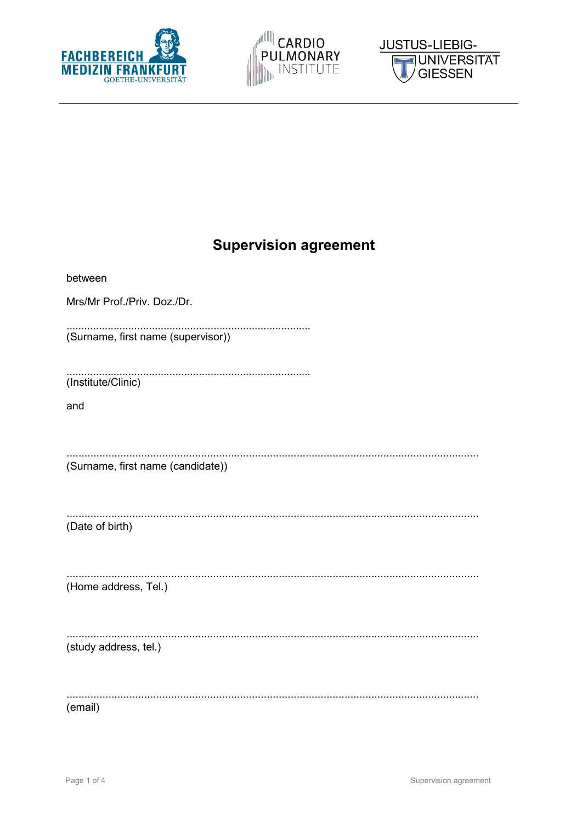





# **Supervision agreement**

| between                            |
|------------------------------------|
| Mrs/Mr Prof./Priv. Doz./Dr.        |
| (Surname, first name (supervisor)) |
| (Institute/Clinic)                 |
| and                                |
|                                    |
| (Surname, first name (candidate))  |
| (Date of birth)                    |
| (Home address, Tel.)               |
| (study address, tel.)              |
| (email)                            |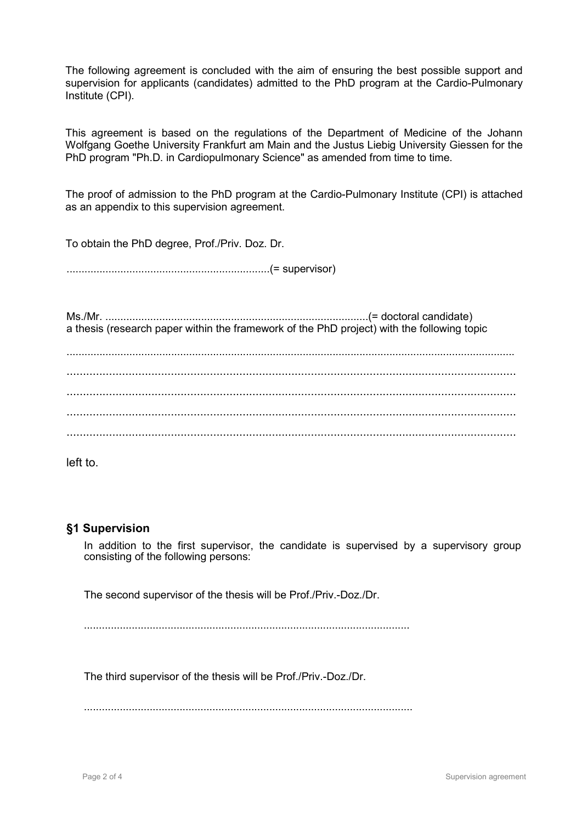The following agreement is concluded with the aim of ensuring the best possible support and supervision for applicants (candidates) admitted to the PhD program at the Cardio-Pulmonary Institute (CPI).

This agreement is based on the regulations of the Department of Medicine of the Johann Wolfgang Goethe University Frankfurt am Main and the Justus Liebig University Giessen for the PhD program "Ph.D. in Cardiopulmonary Science" as amended from time to time.

The proof of admission to the PhD program at the Cardio-Pulmonary Institute (CPI) is attached as an appendix to this supervision agreement.

To obtain the PhD degree, Prof./Priv. Doz. Dr.

....................................................................(= supervisor)

Ms./Mr. ........................................................................................(= doctoral candidate) a thesis (research paper within the framework of the PhD project) with the following topic

left to.

#### **§1 Supervision**

In addition to the first supervisor, the candidate is supervised by a supervisory group consisting of the following persons:

The second supervisor of the thesis will be Prof./Priv.-Doz./Dr.

.............................................................................................................

The third supervisor of the thesis will be Prof./Priv.-Doz./Dr.

..............................................................................................................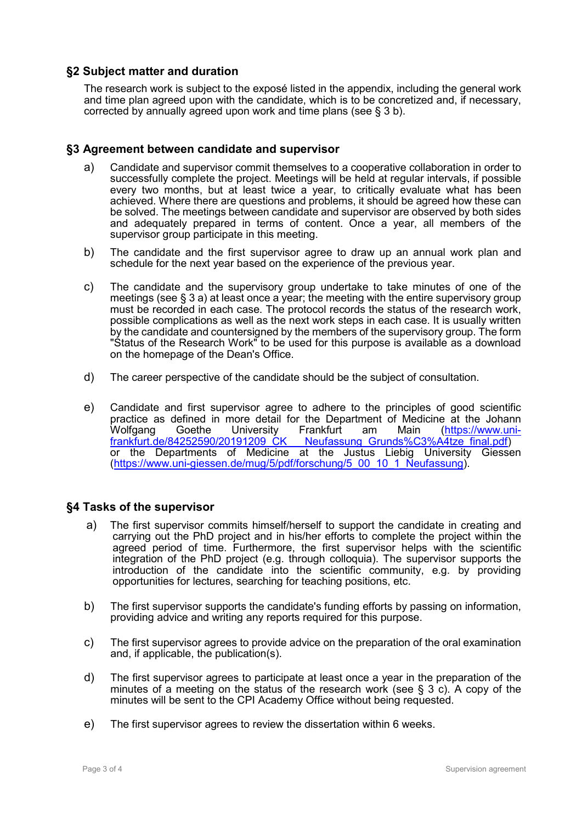#### **§2 Subject matter and duration**

The research work is subject to the exposé listed in the appendix, including the general work and time plan agreed upon with the candidate, which is to be concretized and, if necessary, corrected by annually agreed upon work and time plans (see § 3 b).

#### **§3 Agreement between candidate and supervisor**

- a) Candidate and supervisor commit themselves to a cooperative collaboration in order to successfully complete the project. Meetings will be held at regular intervals, if possible every two months, but at least twice a year, to critically evaluate what has been achieved. Where there are questions and problems, it should be agreed how these can be solved. The meetings between candidate and supervisor are observed by both sides and adequately prepared in terms of content. Once a year, all members of the supervisor group participate in this meeting.
- b) The candidate and the first supervisor agree to draw up an annual work plan and schedule for the next year based on the experience of the previous year.
- c) The candidate and the supervisory group undertake to take minutes of one of the meetings (see § 3 a) at least once a year; the meeting with the entire supervisory group must be recorded in each case. The protocol records the status of the research work, possible complications as well as the next work steps in each case. It is usually written by the candidate and countersigned by the members of the supervisory group. The form "Status of the Research Work" to be used for this purpose is available as a download on the homepage of the Dean's Office.
- d) The career perspective of the candidate should be the subject of consultation.
- e) Candidate and first supervisor agree to adhere to the principles of good scientific practice as defined in more detail for the Department of Medicine at the Johann<br>Wolfgang Goethe University Frankfurt am Main (https://www.uni-Wolfgang Goethe University Frankfurt am Main (https://www.uni-<br>frankfurt.de/84252590/20191209\_CK Neufassung\_Grunds%C3%A4tze\_final.pdf) Neufassung Grunds%C3%A4tze final.pdf) or the Departments of Medicine at the Justus Liebig University Giessen [\(https://www.uni-giessen.de/mug/5/pdf/forschung/5\\_00\\_10\\_1\\_Neufassung\)](https://www.uni-giessen.de/mug/5/pdf/forschung/5_00_10_1_Neufassung).

#### **§4 Tasks of the supervisor**

- a) The first supervisor commits himself/herself to support the candidate in creating and carrying out the PhD project and in his/her efforts to complete the project within the agreed period of time. Furthermore, the first supervisor helps with the scientific integration of the PhD project (e.g. through colloquia). The supervisor supports the introduction of the candidate into the scientific community, e.g. by providing opportunities for lectures, searching for teaching positions, etc.
- b) The first supervisor supports the candidate's funding efforts by passing on information, providing advice and writing any reports required for this purpose.
- c) The first supervisor agrees to provide advice on the preparation of the oral examination and, if applicable, the publication(s).
- d) The first supervisor agrees to participate at least once a year in the preparation of the minutes of a meeting on the status of the research work (see  $\S$  3 c). A copy of the minutes will be sent to the CPI Academy Office without being requested.
- e) The first supervisor agrees to review the dissertation within 6 weeks.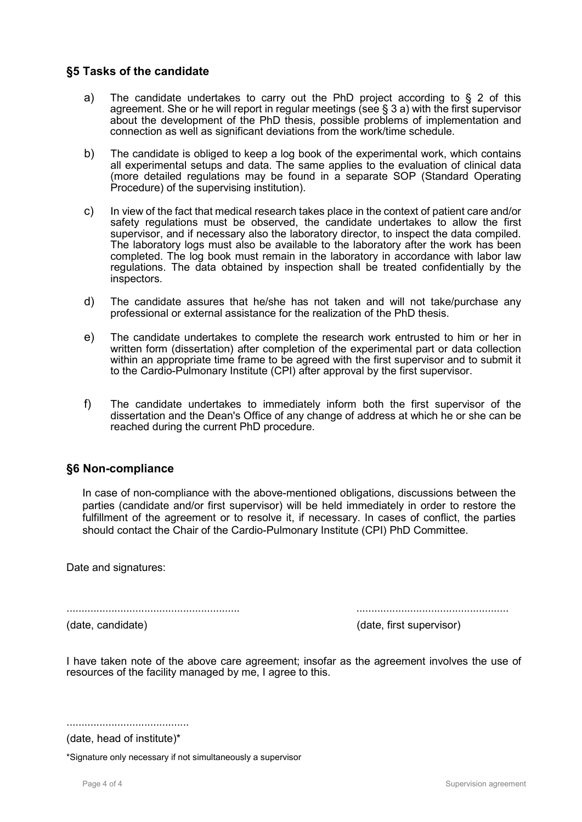#### **§5 Tasks of the candidate**

- a) The candidate undertakes to carry out the PhD project according to § 2 of this agreement. She or he will report in regular meetings (see § 3 a) with the first supervisor about the development of the PhD thesis, possible problems of implementation and connection as well as significant deviations from the work/time schedule.
- b) The candidate is obliged to keep a log book of the experimental work, which contains all experimental setups and data. The same applies to the evaluation of clinical data (more detailed regulations may be found in a separate SOP (Standard Operating Procedure) of the supervising institution).
- c) In view of the fact that medical research takes place in the context of patient care and/or safety regulations must be observed, the candidate undertakes to allow the first supervisor, and if necessary also the laboratory director, to inspect the data compiled. The laboratory logs must also be available to the laboratory after the work has been completed. The log book must remain in the laboratory in accordance with labor law regulations. The data obtained by inspection shall be treated confidentially by the inspectors.
- d) The candidate assures that he/she has not taken and will not take/purchase any professional or external assistance for the realization of the PhD thesis.
- e) The candidate undertakes to complete the research work entrusted to him or her in written form (dissertation) after completion of the experimental part or data collection within an appropriate time frame to be agreed with the first supervisor and to submit it to the Cardio-Pulmonary Institute (CPI) after approval by the first supervisor.
- f) The candidate undertakes to immediately inform both the first supervisor of the dissertation and the Dean's Office of any change of address at which he or she can be reached during the current PhD procedure.

#### **§6 Non-compliance**

In case of non-compliance with the above-mentioned obligations, discussions between the parties (candidate and/or first supervisor) will be held immediately in order to restore the fulfillment of the agreement or to resolve it, if necessary. In cases of conflict, the parties should contact the Chair of the Cardio-Pulmonary Institute (CPI) PhD Committee.

Date and signatures:

.......................................................... ...................................................

(date, candidate) (date, first supervisor)

I have taken note of the above care agreement; insofar as the agreement involves the use of resources of the facility managed by me, I agree to this.

.........................................

(date, head of institute)\*

\*Signature only necessary if not simultaneously a supervisor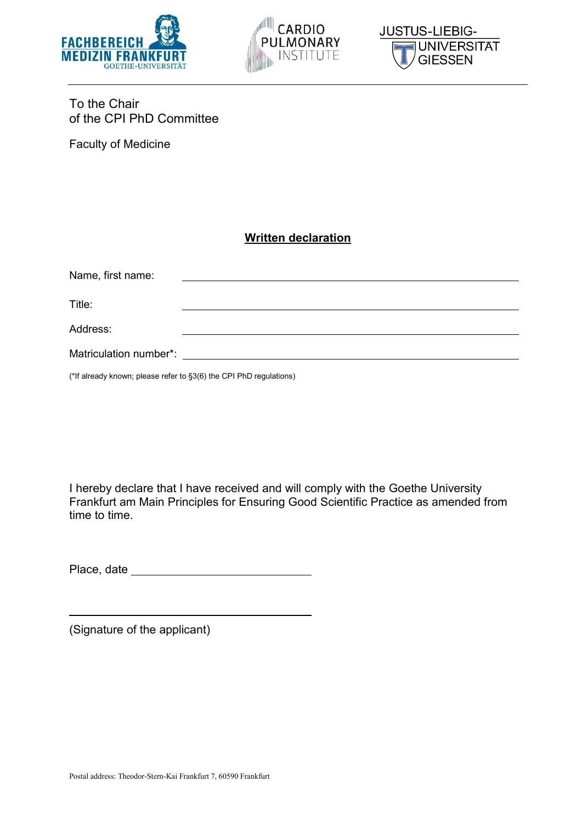





### To the Chair of the CPI PhD Committee

Faculty of Medicine

### **Written declaration**

| Name, first name: |  |
|-------------------|--|
| Title:            |  |
| Address:          |  |
|                   |  |

(\*If already known; please refer to §3(6) the CPI PhD regulations)

I hereby declare that I have received and will comply with the Goethe University Frankfurt am Main Principles for Ensuring Good Scientific Practice as amended from time to time.

Place, date

(Signature of the applicant)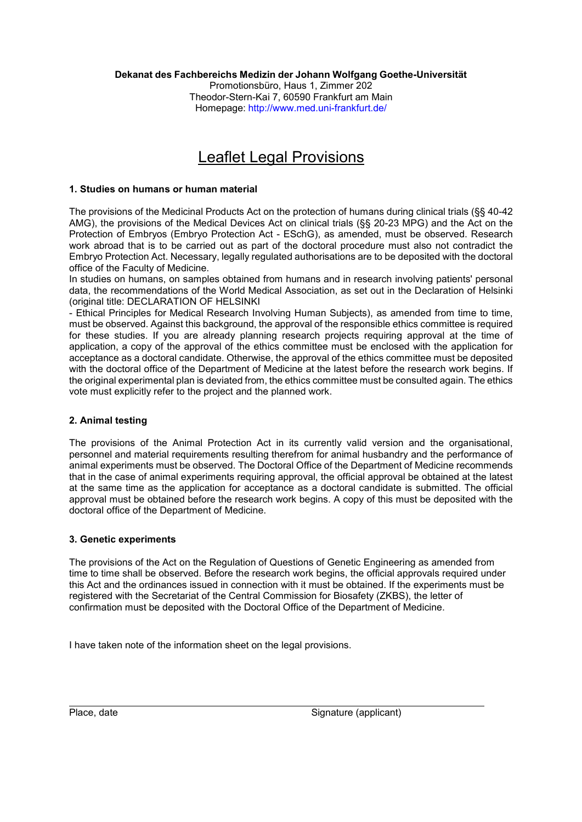#### **Dekanat des Fachbereichs Medizin der Johann Wolfgang Goethe-Universität**

Promotionsbüro, Haus 1, Zimmer 202 Theodor-Stern-Kai 7, 60590 Frankfurt am Main Homepage: <http://www.med.uni-frankfurt.de/>

## Leaflet Legal Provisions

#### **1. Studies on humans or human material**

The provisions of the Medicinal Products Act on the protection of humans during clinical trials (§§ 40-42 AMG), the provisions of the Medical Devices Act on clinical trials (§§ 20-23 MPG) and the Act on the Protection of Embryos (Embryo Protection Act - ESchG), as amended, must be observed. Research work abroad that is to be carried out as part of the doctoral procedure must also not contradict the Embryo Protection Act. Necessary, legally regulated authorisations are to be deposited with the doctoral office of the Faculty of Medicine.

In studies on humans, on samples obtained from humans and in research involving patients' personal data, the recommendations of the World Medical Association, as set out in the Declaration of Helsinki (original title: DECLARATION OF HELSINKI

- Ethical Principles for Medical Research Involving Human Subjects), as amended from time to time, must be observed. Against this background, the approval of the responsible ethics committee is required for these studies. If you are already planning research projects requiring approval at the time of application, a copy of the approval of the ethics committee must be enclosed with the application for acceptance as a doctoral candidate. Otherwise, the approval of the ethics committee must be deposited with the doctoral office of the Department of Medicine at the latest before the research work begins. If the original experimental plan is deviated from, the ethics committee must be consulted again. The ethics vote must explicitly refer to the project and the planned work.

#### **2. Animal testing**

The provisions of the Animal Protection Act in its currently valid version and the organisational, personnel and material requirements resulting therefrom for animal husbandry and the performance of animal experiments must be observed. The Doctoral Office of the Department of Medicine recommends that in the case of animal experiments requiring approval, the official approval be obtained at the latest at the same time as the application for acceptance as a doctoral candidate is submitted. The official approval must be obtained before the research work begins. A copy of this must be deposited with the doctoral office of the Department of Medicine.

#### **3. Genetic experiments**

The provisions of the Act on the Regulation of Questions of Genetic Engineering as amended from time to time shall be observed. Before the research work begins, the official approvals required under this Act and the ordinances issued in connection with it must be obtained. If the experiments must be registered with the Secretariat of the Central Commission for Biosafety (ZKBS), the letter of confirmation must be deposited with the Doctoral Office of the Department of Medicine.

I have taken note of the information sheet on the legal provisions.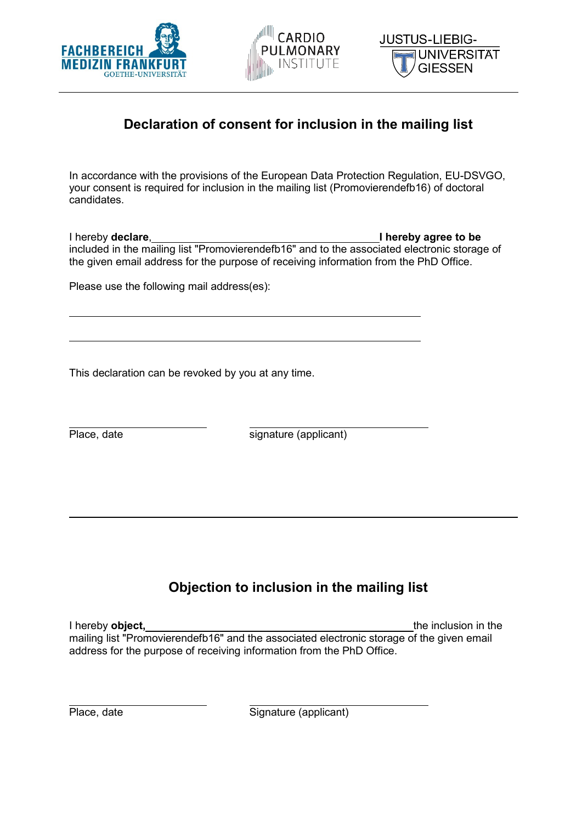





## **Declaration of consent for inclusion in the mailing list**

In accordance with the provisions of the European Data Protection Regulation, EU-DSVGO, your consent is required for inclusion in the mailing list (Promovierendefb16) of doctoral candidates.

I hereby **declare**, **I hereby agree to be**  included in the mailing list "Promovierendefb16" and to the associated electronic storage of the given email address for the purpose of receiving information from the PhD Office.

Please use the following mail address(es):

This declaration can be revoked by you at any time.

Place, date signature (applicant)

## **Objection to inclusion in the mailing list**

I hereby **object,** the inclusion in the inclusion in the inclusion in the inclusion in the inclusion in the inclusion in the inclusion in the inclusion in the inclusion in the inclusion in the inclusion in the inclusion in mailing list "Promovierendefb16" and the associated electronic storage of the given email address for the purpose of receiving information from the PhD Office.

| Place, date |  |
|-------------|--|
|-------------|--|

Signature (applicant)